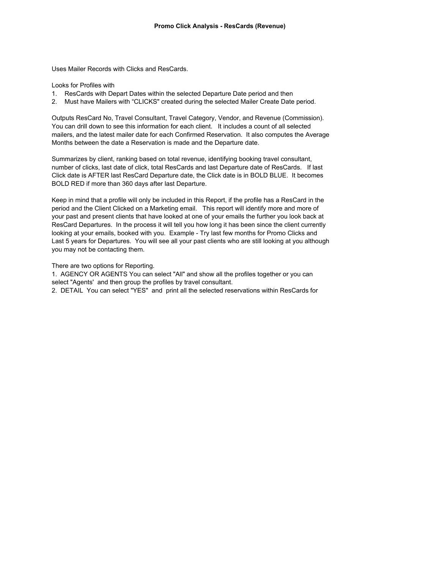Uses Mailer Records with Clicks and ResCards.

Looks for Profiles with

- 1. ResCards with Depart Dates within the selected Departure Date period and then
- 2. Must have Mailers with "CLICKS" created during the selected Mailer Create Date period.

Outputs ResCard No, Travel Consultant, Travel Category, Vendor, and Revenue (Commission). You can drill down to see this information for each client. It includes a count of all selected mailers, and the latest mailer date for each Confirmed Reservation. It also computes the Average Months between the date a Reservation is made and the Departure date.

Summarizes by client, ranking based on total revenue, identifying booking travel consultant, number of clicks, last date of click, total ResCards and last Departure date of ResCards. If last Click date is AFTER last ResCard Departure date, the Click date is in BOLD BLUE. It becomes BOLD RED if more than 360 days after last Departure.

Keep in mind that a profile will only be included in this Report, if the profile has a ResCard in the period and the Client Clicked on a Marketing email. This report will identify more and more of your past and present clients that have looked at one of your emails the further you look back at ResCard Departures. In the process it will tell you how long it has been since the client currently looking at your emails, booked with you. Example - Try last few months for Promo Clicks and Last 5 years for Departures. You will see all your past clients who are still looking at you although you may not be contacting them.

There are two options for Reporting.

1. AGENCY OR AGENTS You can select "All" and show all the profiles together or you can select "Agents' and then group the profiles by travel consultant.

2. DETAIL You can select "YES" and print all the selected reservations within ResCards for